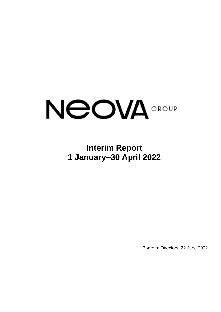# NeoVA<sup>GROUP</sup>

# **Interim Report 1 January–30 April 2022**

Board of Directors, 22 June 2022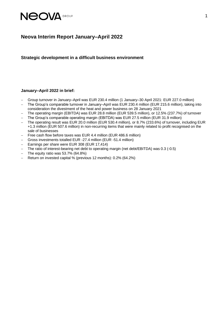

# **Neova Interim Report January–April 2022**

**Strategic development in a difficult business environment**

### **January–April 2022 in brief:**

- − Group turnover in January–April was EUR 230.4 million (1 January–30 April 2021: EUR 227.0 million)
- − The Group's comparable turnover in January–April was EUR 230.4 million (EUR 215.6 million), taking into consideration the divestment of the heat and power business on 28 January 2021
- − The operating margin (EBITDA) was EUR 28.8 million (EUR 539.5 million), or 12.5% (237.7%) of turnover
- − The Group's comparable operating margin (EBITDA) was EUR 27.5 million (EUR 31.9 million)
- − The operating result was EUR 20.0 million (EUR 530.4 million), or 8.7% (233.6%) of turnover, including EUR +1.3 million (EUR 507.6 million) in non-recurring items that were mainly related to profit recognised on the sale of businesses
- − Free cash flow before taxes was EUR 4.4 million (EUR 486.6 million)
- − Gross investments totalled EUR -27.4 million (EUR -51.4 million)
- − Earnings per share were EUR 308 (EUR 17,414)
- − The ratio of interest-bearing net debt to operating margin (net debt/EBITDA) was 0.3 (-0.5)
- − The equity ratio was 53.7% (64.8%)
- − Return on invested capital % (previous 12 months): 0.2% (64.2%)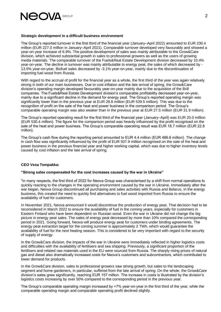

### **Strategic development in a difficult business environment**

The Group's reported turnover in the first third of the financial year (January–April 2022) amounted to EUR 230.4 million (EUR 227.0 million in January–April 2021). Comparable turnover developed very favourably and showed a year-on-year increase of 6.9%. The positive development of sales was mainly attributable to the Grow&Care division, which achieved substantial growth in sales to professional growers as well as the users of growing media materials. The comparable turnover of the Fuels&Real Estate Development division decreased by 10.4% year-on-year. The decline in turnover was mainly attributable to energy peat, the sales of which decreased by - 13.5% year-on-year. Biofuel sales decreased by -3.1% year-on-year, mainly due to the discontinuation of importing fuel wood from Russia.

With regard to the accrual of profit for the financial year as a whole, the first third of the year was again relatively strong in both of our main businesses. Due to cost inflation and the late arrival of spring, the Grow&Care division's operating margin developed favourably year-on-year mainly due to the acquisition of the Brill companies. The Fuels&Real Estate Development division's comparable profitability decreased year-on-year, mainly due to a significant decline in the demand for energy peat. The Group's reported operating margin was significantly lower than in the previous year at EUR 28.8 million (EUR 539.5 million). This was due to the recognition of profit on the sale of the heat and power business in the comparison period. The Group's comparable operating margin was also weaker than in the previous year at EUR 27.5 million (EUR 31.9 million).

The Group's reported operating result for the first third of the financial year (January–April) was EUR 20.0 million (EUR 530.4 million). The figure for the comparison period was heavily influenced by the profit recognised on the sale of the heat and power business. The Group's comparable operating result was EUR 18.7 million (EUR 22.8 million).

The Group's cash flow during the reporting period amounted to EUR 4.4 million (EUR 486.6 million). The change in cash flow was significantly influenced by the profit of EUR 507.9 million recognised on the sale of the heat and power business in the previous financial year and higher working capital, which was due to higher inventory levels caused by cost inflation and the late arrival of spring.

### **CEO Vesa Tempakka:**

### **"Strong sales compensated for the cost increases caused by the war in Ukraine"**

"In many respects, the first third of 2022 for Neova Group was characterised by a shift from normal operations to quickly reacting to the changes in the operating environment caused by the war in Ukraine. Immediately after the war began, Neova Group discontinued all purchasing and sales activities with Russia and Belarus. In the energy business, this created the need to quickly find alternatives to fuel wood imported from Russia to ensure the availability of fuel for customers.

In November 2021, Neova announced it would discontinue the production of energy peat. That decision had to be reconsidered in March 2022 to ensure the availability of fuel in the coming years, especially for customers in Eastern Finland who have been dependent on Russian wood. Even the war in Ukraine did not change the big picture in energy peat sales. The sales of energy peat decreased by more than 10% compared the corresponding period in 2021. Going forward, Neova will produce energy peat for customers under binding agreements. The energy peat extraction target for the coming summer is approximately 2 TWh, which would guarantee the availability of fuel for the next heating season. This is considered to be very important with regard to the security of supply of energy.

In the Grow&Care division, the impacts of the war in Ukraine were immediately reflected in higher logistics costs and difficulties with the availability of fertilisers and sea shipping. Previously, a significant proportion of the fertilisers and related raw materials used in the EU were sourced from Russia. The sharply rising prices of natural gas and diesel also dramatically increased costs for Neova's customers and subcontractors, which contributed to lower demand for products.

In the Grow&Care division, sales to professional growers saw strong growth, but sales to the landscaping segment and home gardeners, in particular, suffered from the late arrival of spring. On the whole, the Grow&Care division's sales grew significantly, reaching EUR 157 million. The increase in costs is illustrated by the division's logistics costs increasing by over 50% compared to the corresponding period in the previous year.

The Group's comparable operating margin increased by +7% year-on-year in the first third of the year, while the comparable operating margin and comparable operating profit declined slightly.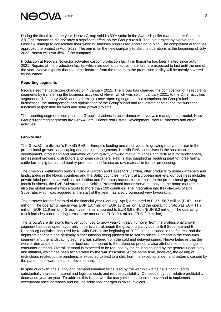

During the first third of the year, Neova Group sold its 50% stake in the Swedish pellet manufacturer Scandbio AB. The transaction did not have a significant effect on the Group's result. The joint project by Neova and Lassila&Tikanoja to consolidate their wood businesses progressed according to plan. The competition authorities approved the project in April 2022. The aim is for the new company to start its operations at the beginning of July 2022. Neova will own 45% of the company.

Production at Neova's Novactor activated carbon production facility in Ilomantsi has been halted since autumn 2021. Repairs at the production facility, which are due to defective materials, are expected to last until the end of the year. Neova expects that the costs incurred from the repairs to the production facility will be mostly covered by insurance."

### **Reporting segments**

Neova's segment structure changed on 1 January 2022. The Group has changed the composition of its reporting segments by transferring the business activities of Nevel, which was sold in January 2021, to the Other activities segment on 1 January 2022, and by forming a new reporting segment that comprises the Group's fuel businesses, the management and optimisation of the Group's land and real estate assets, and the business functions responsible for wind and solar power projects.

The reporting segments comprise the Group's divisions in accordance with Neova's management model. Neova Group's reporting segments are Grow&Care, Fuels&Real Estate Development, New Businesses and other activities.

### **Grow&Care**

The Grow&Care division's Kekkilä-BVB is Europe's leading and most versatile growing media operator in the professional grower, landscaping and consumer segments. Kekkilä-BVB specialises in the sustainable development, production and marketing of high-quality growing media, mulches and fertilisers for landscapers, professional growers, distributors and home gardeners. Peat is also supplied as bedding peat to horse farms, cattle farms, pig farms and poultry producers and for use as raw material in further processing.

The division's well-known brands, Kekkilä Garden and Hasselfors Garden, offer products to home gardeners and landscapers in the Nordic countries and the Baltic countries. In Central European markets, our business includes private label products as well as the Jardino and Florentus brands, for example. In the professional growing media business, the BVB Substrates and Kekkilä Professional brands serve not only on the home markets but also the global markets with exports to more than 100 countries. The integration into Kekkilä-BVB of Brill Substrate, which was acquired at the start of the year, has also progressed very favourably.

The turnover for the first third of the financial year (January–April) amounted to EUR 158.7 million (EUR 133.8 million). The operating margin was EUR 18.7 million (EUR 17.2 million) and the operating profit was EUR 11.7 million (EUR 11.9 million). Gross investments amounted to EUR 8.9 million (EUR 8.3 million). The operating result includes non-recurring items in the amount of EUR -0.4 million (EUR 0.0 million).

The Grow&Care division's turnover continued to grow year-on-year. Turnover from the professional grower segment has developed favourably in particular, although the growth is partly due to Brill Substrate and Brill Papenburg Logistics, acquired by Kekkilä-BVB at the beginning of 2022, being included in the figures, and the higher freight costs and generally higher inflation being passed on to selling prices. Demand in the consumer segment and the landscaping segment has suffered from the cold and delayed spring. Neova believes that the weaker demand in the consumer business compared to the reference period is also attributable to a change in consumer demand. Overall demand is expected to be reduced by the caution caused by the general uncertainty and inflation, which has been accelerated by the war in Ukraine. At the same time, however, the easing of restrictions related to the pandemic is expected to lead to a shift from the exceptional demand patterns caused by the pandemic towards steadier development.

In spite of growth, the supply and demand imbalances caused by the war in Ukraine have continued to substantially increase material and logistics costs and reduce availability. Consequently, our relative profitability decreased year-on-year. To address this issue, we, like many other companies, have had to implement exceptional price increases and include additional charges in sales invoices.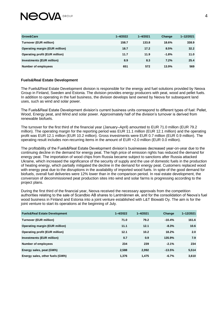

| Grow&Care                             | $1 - 4/2022$ | $1 - 4/2021$ | Change  | 1-12/2021 |
|---------------------------------------|--------------|--------------|---------|-----------|
| <b>Turnover (EUR million)</b>         | 158.7        | 133.8        | 18.6%   | 338.9     |
| <b>Operating margin (EUR million)</b> | 18.7         | 17.2         | 8.5%    | 32.2      |
| <b>Operating profit (EUR million)</b> | 11.7         | 11.9         | $-1.8%$ | 11.0      |
| <b>Investments (EUR million)</b>      | 8.9          | 8.3          | 7.2%    | 25.4      |
| <b>Number of employees</b>            | 651          | 572          | 13.9%   | 569       |

### **Fuels&Real Estate Development**

The Fuels&Real Estate Development division is responsible for the energy and fuel solutions provided by Neova Group in Finland, Sweden and Estonia. The division provides energy producers with peat, wood and pellet fuels. In addition to operating in the fuel business, the division develops land owned by Neova for subsequent land uses, such as wind and solar power.

The Fuels&Real Estate Development division's current business units correspond to different types of fuel: Pellet, Wood, Energy peat, and Wind and solar power. Approximately half of the division's turnover is derived from renewable biofuels.

The turnover for the first third of the financial year (January–April) amounted to EUR 71.0 million (EUR 79.2 million). The operating margin for the reporting period was EUR 11.1 million (EUR 12.1 million) and the operating profit was EUR 12.1 million (EUR 10.2 million). Gross investments were EUR 0.7 million (EUR 0.9 million). The operating result includes non-recurring items in the amount of EUR +2.0 million (EUR 0.0 million).

The profitability of the Fuels&Real Estate Development division's businesses decreased year-on-year due to the continuing decline in the demand for energy peat. The high price of emission rights has reduced the demand for energy peat. The importation of wood chips from Russia became subject to sanctions after Russia attacked Ukraine, which increased the significance of the security of supply and the use of domestic fuels in the production of heating energy, which partially mitigated the decline in the demand for energy peat. Customers replaced wood with energy peat due to the disruptions in the availability of imported wood fuels. In spite of the good demand for biofuels, overall fuel deliveries were 12% lower than in the comparison period. In real estate development, the conversion of decommissioned peat production sites into wind and solar farms is progressing according to the project plans.

During the first third of the financial year, Neova received the necessary approvals from the competition authorities relating to the sale of Scandbio AB shares to Lantmännen ek, and for the consolidation of Neova's fuel wood business in Finland and Estonia into a joint venture established with L&T Biowatti Oy. The aim is for the joint venture to start its operations at the beginning of July.

| <b>Fuels&amp;Real Estate Development</b> | $1 - 4/2022$ | $1 - 4/2021$ | Change   | 1-12/2021 |
|------------------------------------------|--------------|--------------|----------|-----------|
| <b>Turnover (EUR million)</b>            | 71.0         | 79.2         | $-10.4%$ | 161.6     |
| <b>Operating margin (EUR million)</b>    | 11.1         | 12.1         | $-8.3%$  | 10.6      |
| <b>Operating profit (EUR million)</b>    | 12.1         | 10.2         | 18.2%    | 2.0       |
| <b>Investments (EUR million)</b>         | 0.7          | 0.9          | 135.9%   | 7.9       |
| Number of employees                      | 234          | 239          | $-2.1%$  | 234       |
| Energy sales, peat (GWh)                 | 2,588        | 2,992        | $-13.5%$ | 5,514     |
| Energy sales, other fuels (GWh)          | 1.376        | 1,475        | $-6.7%$  | 3,610     |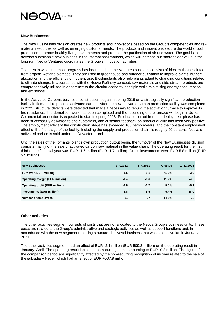

### **New Businesses**

The New Businesses division creates new products and innovations based on the Group's competencies and raw material resources as well as emerging customer needs. The products and innovations secure the world's food production, promote healthy living environments and promote the purification of air and water. The goal is to develop sustainable new business in the international markets, which will increase our shareholder value in the long run. Neova Ventures coordinates the Group's innovation activities.

The area in which the most progress has been made in the Ventures business consists of biostimulants isolated from organic wetland biomass. They are used in greenhouse and outdoor cultivation to improve plants' nutrient absorption and the efficiency of nutrient use. Biostimulants also help plants adapt to changing conditions related to climate change. In accordance with the Neova Refinery concept, raw materials and side stream products are comprehensively utilised in adherence to the circular economy principle while minimising energy consumption and emissions.

In the Activated Carbons business, construction began in spring 2019 on a strategically significant production facility in Ilomantsi to process activated carbon. After the new activated carbon production facility was completed in 2021, structural defects were detected that made it necessary to rebuild the activation furnace to improve its fire resistance. The demolition work has been completed and the rebuilding of the furnace will begin in June. Commercial production is expected to start in spring 2023. Production output from the deployment phase has been successfully delivered to end customers, and customer feedback on product quality has been very positive. The employment effect of the construction stage has exceeded 100 person-years, and the constant employment effect of the first stage of the facility, including the supply and production chain, is roughly 50 persons. Neova's activated carbon is sold under the Novactor brand.

Until the sales of the Ilomantsi plant's own production output begin, the turnover of the New Businesses division consists mainly of the sale of activated carbon raw material in the value chain. The operating result for the first third of the financial year was EUR -1.6 million (EUR -1.7 million). Gross investments were EUR 5.8 million (EUR 5.5 million).

| <b>New Businesses</b>                 | $1 - 4/2022$ | $1 - 4/2021$ | Change | 1-12/2021 |
|---------------------------------------|--------------|--------------|--------|-----------|
| <b>Turnover (EUR million)</b>         | 1.6          | 1.1          | 41.9%  | 3.0       |
| <b>Operating margin (EUR million)</b> | $-1.4$       | $-1.6$       | 11.9%  | $-4.5$    |
| <b>Operating profit (EUR million)</b> | $-1.6$       | $-1.7$       | 5.0%   | $-5.1$    |
| <b>Investments (EUR million)</b>      | 5.8          | 5.5          | 5.4%   | 28.0      |
| <b>Number of employees</b>            | 31           | 27           | 14.8%  | 28        |

### **Other activities**

The other activities segment consists of costs that are not allocated to the Neova Group's business units. These costs are related to the Group's administrative and strategic activities as well as support functions and, in accordance with the new segment reporting structure, the Nevel business that was sold to Ardian in January 2021.

The other activities segment had an effect of EUR -2.1 million (EUR 509.8 million) on the operating result in January–April. The operating result includes non-recurring items amounting to EUR -0.3 million. The figures for the comparison period are significantly affected by the non-recurring recognition of income related to the sale of the subsidiary Nevel, which had an effect of EUR +507.9 million.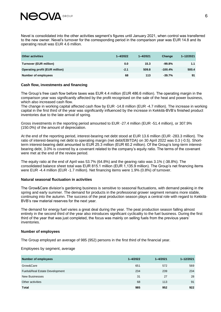

Nevel is consolidated into the other activities segment's figures until January 2021, when control was transferred to the new owner. Nevel's turnover for the corresponding period in the comparison year was EUR 14.8 and its operating result was EUR 4.6 million.

| Other activities                      | $1 - 4/2022$ | $1 - 4/2021$ | Change    | 1-12/2021 |
|---------------------------------------|--------------|--------------|-----------|-----------|
| <b>Turnover (EUR million)</b>         | 0.0          | 15.3         | $-99.8%$  | 1.1       |
| <b>Operating profit (EUR million)</b> | $-2.1$       | 509.8        | $-100.4%$ | 500.4     |
| Number of employees                   | 68           | 113          | $-39.7%$  | 91        |

### **Cash flow, investments and financing**

The Group's free cash flow before taxes was EUR 4.4 million (EUR 486.6 million). The operating margin in the comparison year was significantly affected by the profit recognised on the sale of the heat and power business, which also increased cash flow.

The change in working capital affected cash flow by EUR -14.8 million (EUR -4.7 million). The increase in working capital in the first third of the year was significantly influenced by the increase in Kekkilä-BVB's finished product inventories due to the late arrival of spring.

Gross investments in the reporting period amounted to EUR -27.4 million (EUR -51.4 million), or 307.9% (150.0%) of the amount of depreciation.

At the end of the reporting period, interest-bearing net debt stood at EUR 13.6 million (EUR -283.3 million). The ratio of interest-bearing net debt to operating margin (net debt/EBITDA) on 30 April 2022 was 0.3 (-0.5). Shortterm interest-bearing debt amounted to EUR 25.3 million (EUR 60.2 million). Of the Group's long-term interestbearing debt, 3.0% is covered by a covenant related to the company's equity ratio. The terms of the covenant were met at the end of the review period.

The equity ratio at the end of April was 53.7% (64.8%) and the gearing ratio was 3.1% (-38.8%). The consolidated balance sheet total was EUR 815.1 million (EUR 1,135.9 million). The Group's net financing items were EUR -4.4 million (EUR -1.7 million). Net financing items were 1.9% (0.8%) of turnover.

### **Natural seasonal fluctuation in activities**

The Grow&Care division's gardening business is sensitive to seasonal fluctuations, with demand peaking in the spring and early summer. The demand for products in the professional grower segment remains more stable, continuing into the autumn. The success of the peat production season plays a central role with regard to Kekkilä-BVB's raw material reserves for the next year.

The demand for energy fuel varies a great deal during the year. The peat production season falling almost entirely in the second third of the year also introduces significant cyclicality to the fuel business. During the first third of the year that was just completed, the focus was mainly on selling fuels from the previous years' inventories.

#### **Number of employees**

The Group employed an average of 985 (952) persons in the first third of the financial year.

Employees by segment, average

| <b>Number of employees</b>    | $1 - 4/2022$ | $1 - 4/2021$ | 1-12/2021 |
|-------------------------------|--------------|--------------|-----------|
| Grow&Care                     | 651          | 572          | 569       |
| Fuels&Real Estate Development | 234          | 239          | 234       |
| <b>New Businesses</b>         | 31           | 27           | 28        |
| Other activities              | 68           | 113          | 91        |
| <b>Total</b>                  | 985          | 952          | 922       |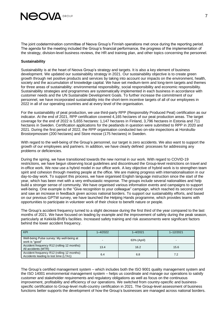

The joint codetermination committee of Neova Group's Finnish operations met once during the reporting period. The agenda for the meeting included the Group's financial performance, the progress of the implementation of the strategy, division-level business reviews, the HR and training plan, and other topics concerning the personnel.

### **Sustainability**

Sustainability is at the heart of Neova Group's strategy and targets. It is also a key element of business development. We updated our sustainability strategy in 2021. Our sustainability objective is to create green growth through net positive products and services by taking into account our impacts on the environment, health, society and the accumulation of knowledge capital. We have set medium-term and long-term targets and themes for three areas of sustainability: environmental responsibility, social responsibility and economic responsibility. Sustainability strategies and programmes are systematically implemented in each business in accordance with customer needs and the UN Sustainable Development Goals. To further increase the commitment of our personnel, we have incorporated sustainability into the short-term incentive targets of all of our employees in 2022 in all of our operating countries and at every level of the organisation.

For the sustainability of peat production, we use third-party RPP (Responsibly Produced Peat) certification as our indicator. At the end of 2021, RPP certification covered 4,165 hectares of our peat production areas. The target coverage for the end of 2022 is 5,655 hectares: 1,147 hectares in Finland, 3,796 hectares in Estonia and 711 hectares in Sweden. Certification applications for the peatlands in question were submitted to RPP in 2020 and 2021. During the first period of 2022, the RPP organisation conducted two on-site inspections at Horskulla-Brostorpmossen (200 hectares) and Store mosse (175 hectares) in Sweden.

With regard to the well-being of the Group's personnel, our target is zero accidents. We also want to support the growth of our employees and partners. In addition, we have clearly defined processes for addressing any problems or deficiencies.

During the spring, we have transitioned towards the new normal in our work. With regard to COVID-19 restrictions, we have begun observing local guidelines and discontinued the Group-level restrictions on travel and in-office work. We now use a hybrid model in our office work. A key objective of hybrid work is to strengthen team spirit and cohesion through meeting people at the office. We are making progress with internationalisation in our day-to-day work. To support this process, we have organised English language instruction since the start of the year, which has been met with a very enthusiastic response. The groups include several nationalities and help build a stronger sense of community. We have organised various information events and campaigns to support well-being. One example is the "Give recognition to your colleague" campaign, which reached its second round and saw an increase in feedback given across national borders. To support our sustainability efforts, and based on our previous GPTW survey, we have launched the Helping Hands programme, which provides teams with opportunities to participate in volunteer work of their choice to benefit nature or people.

The Group's accident frequency turned to a slight decrease during the first third of the year compared to the last months of 2021. We have focused on leading by example and the improvement of safety during the peak season, particularly at Kekkilä-BVB's facilities. Increased safety training and risk assessments were significant factors behind the lower accident frequency.

| <b>KPI</b>                                                                           | $1 - 4/2022$ | $1 - 4/2021$ | $1 - 12/2021$ |
|--------------------------------------------------------------------------------------|--------------|--------------|---------------|
| Well-being Pulse survey: My well-being at<br>work is "good"                          |              | 63% (April)  |               |
| Accident frequency R12 (rolling 12 months):<br>All accidents (MTR)                   | 13.4         | 16.2         | 15.6          |
| Accident frequency R12 (rolling 12 months):<br>Accidents leading to lost time (LTA1) | 6.4          | 6.8          | 7.2           |

The Group's certified management system – which includes both the ISO 9001 quality management system and the ISO 14001 environmental management system – helps us coordinate and manage our operations to satisfy customer and stakeholder requirements and regulatory obligations as well as focus on the continuous improvement, profitability and efficiency of our operations. We switched from country-specific and businessspecific certification to Group-level multi-country certification in 2021. The Group-level assessment of business functions better supports the development of how the Group's businesses are managed across national borders.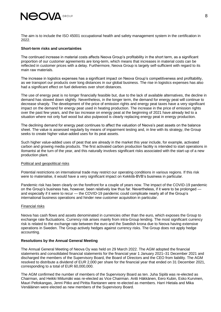

The aim is to include the ISO 45001 occupational health and safety management system in the certification in 2022.

### **Short-term risks and uncertainties**

The continued increase in material costs affects Neova Group's profitability in the short term, as a significant proportion of our customer agreements are long-term, which means that increases in material costs can be reflected in customer prices with a delay. Furthermore, Neova Group is largely self-sufficient with regard to its main raw materials.

The increase in logistics expenses has a significant impact on Neova Group's competitiveness and profitability, as we transport our products over long distances in our global business. The rise in logistics expenses has also had a significant effect on fuel deliveries over short distances.

The use of energy peat is no longer financially feasible but, due to the lack of available alternatives, the decline in demand has slowed down slightly. Nevertheless, in the longer term, the demand for energy peat will continue to decrease sharply. The development of the price of emission rights and energy peat taxes have a very significant impact on the demand for energy peat used in heating production. The increase in the price of emission rights over the past few years, and the tax increase on energy peat at the beginning of 2021 have already led to a situation where not only fuel wood but also pulpwood is clearly replacing energy peat in energy production.

The declining demand for energy peat continues to affect the valuation of Neova's peat assets on the balance sheet. The value is assessed regularly by means of impairment testing and, in line with its strategy, the Group seeks to create higher value-added uses for its peat assets.

Such higher value-added uses of peat that are already in the market this year include, for example, activated carbon and growing media products. The first activated carbon production facility is intended to start operations in Ilomantsi at the turn of the year, and this naturally involves significant risks associated with the start-up of a new production plant.

### Political and geopolitical risks

Potential restrictions on international trade may restrict our operating conditions in various regions. If this risk were to materialise, it would have a very significant impact on Kekkilä-BVB's business in particular.

Pandemic risk has been clearly on the forefront for a couple of years now. The impact of the COVID-19 pandemic on the Group's business has, however, been relatively low thus far. Nevertheless, if it were to be prolonged and especially if it were to recur — the COVID-19 pandemic could complicate nearly all of the Group's international business operations and hinder new customer acquisition in particular.

### Financial risks

Neova has cash flows and assets denominated in currencies other than the euro, which exposes the Group to exchange rate fluctuations. Currency risk arises mainly from intra-Group lending. The most significant currency risk is related to the exchange rate between the euro and the Swedish krona due to Neova having extensive operations in Sweden. The Group actively hedges against currency risks. The Group does not apply hedge accounting.

### **Resolutions by the Annual General Meeting**

The Annual General Meeting of Neova Oy was held on 29 March 2022. The AGM adopted the financial statements and consolidated financial statements for the financial year 1 January 2021–31 December 2021 and discharged the members of the Supervisory Board, the Board of Directors and the CEO from liability. The AGM resolved to distribute a dividend of EUR 2,000 per share for the financial year that ended on 31 December 2021, corresponding to a total of EUR 60,000,000.

The AGM confirmed the number of members of the Supervisory Board as ten. Juha Sipilä was re-elected as Chairman, and Heikki Miilumäki was re-elected as Vice Chairman. Antti Häkkänen, Eero Kubin, Esko Kurvinen, Mauri Peltokangas, Jenni Pitko and Piritta Rantanen were re-elected as members. Harri Hietala and Mika Venäläinen were elected as new members of the Supervisory Board.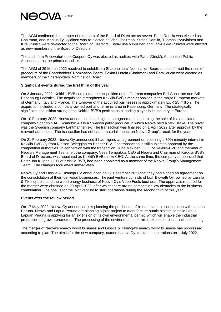

The AGM confirmed the number of members of the Board of Directors as seven. Panu Routila was elected as Chairman, and Markus Tykkyläinen was re-elected as Vice Chairman. Stefan Damlin, Tuomas Hyyryläinen and Kirsi Puntila were re-elected to the Board of Directors. Eeva-Liisa Virkkunen and Jari-Pekka Punkari were elected as new members of the Board of Directors.

The audit firm PricewaterhouseCoopers Oy was elected as auditor, with Panu Vänskä, Authorised Public Accountant, as the principal auditor.

The AGM of 29 March 2022 resolved to establish a Shareholders' Nomination Board and confirmed the rules of procedure of the Shareholders' Nomination Board. Pekka Hurtola (Chairman) and Rami Vuola were elected as members of the Shareholders' Nomination Board.

### **Significant events during the first third of the year**

On 3 January 2022, Kekkilä-BVB completed the acquisition of the German companies Brill Substrate and Brill Papenburg Logistics. The acquisition strengthens Kekkilä-BVB's market position in the major European markets of Germany, Italy and France. The turnover of the acquired businesses is approximately EUR 25 million. The acquisition included a company-owned port and terminal area in Papenburg, Germany. The strategically significant acquisition strengthens Kekkilä-BVB's position as a leading player in its industry in Europe.

On 10 February 2022, Neova announced it had signed an agreement concerning the sale of its associated company Scandbio AB. Scandbio AB is a Swedish pellet producer in which Neova held a 50% stake. The buyer was the Swedish company Lantmännen ek. The transaction was finalised on 1 April 2022 after approval by the relevant authorities. The transaction has not had a material impact on Neova Group's result for the year.

On 21 February 2022, Neova Oy announced it had signed an agreement on acquiring a 30% minority interest in Kekkilä-BVB Oy from Nielson Belegging en Beheer B.V. The transaction is still subject to approval by the competition authorities. In connection with the transaction, Juha Mäkinen, CEO of Kekkilä-BVB and member of Neova's Management Team, left the company. Vesa Tempakka, CEO of Neova and Chairman of Kekkilä-BVB's Board of Directors, was appointed as Kekkilä-BVB's new CEO. At the same time, the company announced that Peter Jan Kuiper, COO of Kekkilä-BVB, had been appointed as a member of the Neova Group's Management Team. The changes took effect immediately.

Neova Oy and Lassila & Tikanoja Plc announced on 17 December 2021 that they had signed an agreement on the consolidation of their fuel wood businesses. The joint venture consists of L&T Biowatti Oy, owned by Lassila & Tikanoja plc, and the wood energy business of Neova Oy's Vapo Fuels business. The approvals required for the merger were obtained on 29 April 2022, after which there are no competition law obstacles to the business combination. The goal is for the joint venture to start operations during the second third of this year.

### **Events after the review period**

On 17 May 2022, Neova Oy announced it is planning the production of biostimulants in cooperation with Lapuan Peruna. Neova and Lapua Peruna are planning a joint project to manufacture humic biostimulants in Lapua. Lapuan Peruna is applying for an extension of its own environmental permit, which will enable the industrial production of growth promoters. The processing of the environmental permit is expected to last until next spring.

The merger of Neova's energy wood business and Lassila & Tikanoja's energy wood business has progressed according to plan. The aim is for the new company, named Laania Oy, to start its operations on 1 July 2022.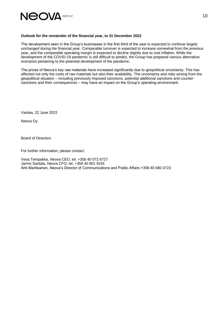

### **Outlook for the remainder of the financial year, to 31 December 2022**

The development seen in the Group's businesses in the first third of the year is expected to continue largely unchanged during the financial year. Comparable turnover is expected to increase somewhat from the previous year, and the comparable operating margin is expected to decline slightly due to cost inflation. While the development of the COVID-19 pandemic is still difficult to predict, the Group has prepared various alternative scenarios pertaining to the potential development of the pandemic.

The prices of Neova's key raw materials have increased significantly due to geopolitical uncertainty. This has affected not only the costs of raw materials but also their availability. The uncertainty and risks arising from the geopolitical situation – including previously imposed sanctions, potential additional sanctions and countersanctions and their consequences – may have an impact on the Group's operating environment.

Vantaa, 22 June 2022

Neova Oy

Board of Directors

For further information, please contact:

Vesa Tempakka, Neova CEO, tel. +358 40 072 6727 Jarmo Santala, Neova CFO, tel. +358 40 801 9191 Ahti Martikainen, Neova's Director of Communications and Public Affairs +358 40 680 4723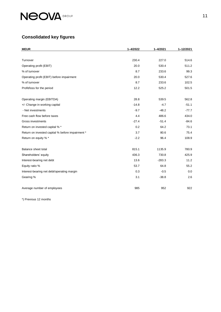

# **Consolidated key figures**

| <b>MEUR</b>                                      | $1 - 4/2022$ | $1 - 4/2021$ | 1-12/2021 |
|--------------------------------------------------|--------------|--------------|-----------|
|                                                  |              |              |           |
| Turnover                                         | 230.4        | 227.0        | 514.6     |
| Operating profit (EBIT)                          | 20.0         | 530.4        | 511.2     |
| % of turnover                                    | 8.7          | 233.6        | 99.3      |
| Operating profit (EBIT) before impairment        | 20.0         | 530.4        | 527.6     |
| % of turnover                                    | 8.7          | 233.6        | 102.5     |
| Profit/loss for the period                       | 12.2         | 525.2        | 501.5     |
|                                                  |              |              |           |
| Operating margin (EBITDA)                        | 28.8         | 539.5        | 562.8     |
| +/- Change in working capital                    | $-14.8$      | $-4.7$       | $-51.1$   |
| - Net investments                                | $-9.7$       | $-48.2$      | $-77.7$   |
| Free cash flow before taxes                      | 4.4          | 486.6        | 434.0     |
| Gross investments                                | $-27.4$      | $-51.4$      | $-84.6$   |
| Return on invested capital % *                   | 0.2          | 64.2         | 73.1      |
| Return on invested capital % before impairment * | 3.7          | 80.6         | 75.4      |
| Return on equity % *                             | $-2.2$       | 96.4         | 108.9     |
|                                                  |              |              |           |
| Balance sheet total                              | 815.1        | 1135.9       | 780.9     |
| Shareholders' equity                             | 436.3        | 730.8        | 425.9     |
| Interest-bearing net debt                        | 13.6         | $-283.3$     | 11.2      |
| Equity ratio %                                   | 53.7         | 64.8         | 55.2      |
| Interest-bearing net debt/operating margin       | 0.3          | $-0.5$       | 0.0       |
| Gearing %                                        | 3.1          | $-38.8$      | 2.6       |
|                                                  |              |              |           |
| Average number of employees                      | 985          | 952          | 922       |

\*) Previous 12 months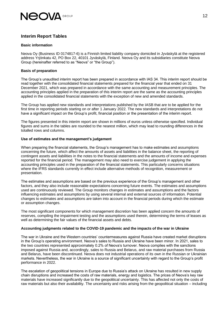

### **Interim Report Tables**

### **Basic information**

Neova Oy (Business ID 0174817-6) is a Finnish limited liability company domiciled in Jyväskylä at the registered address Yrjönkatu 42, PO Box 22, 40101 Jyväskylä, Finland. Neova Oy and its subsidiaries constitute Neova Group (hereinafter referred to as "Neova" or "the Group").

### **Basis of preparation**

The Group's unaudited interim report has been prepared in accordance with IAS 34. This interim report should be read together with the consolidated financial statements prepared for the financial year that ended on 31 December 2021, which was prepared in accordance with the same accounting and measurement principles. The accounting principles applied in the preparation of this interim report are the same as the accounting principles applied in the consolidated financial statements with the exception of new and amended standards.

The Group has applied new standards and interpretations published by the IASB that are to be applied for the first time in reporting periods starting on or after 1 January 2022. The new standards and interpretations do not have a significant impact on the Group's profit, financial position or the presentation of the interim report.

The figures presented in this interim report are shown in millions of euros unless otherwise specified. Individual figures and sums in the tables are rounded to the nearest million, which may lead to rounding differences in the totalled rows and columns.

### **Use of estimates and the management's judgement**

When preparing the financial statements, the Group's management has to make estimates and assumptions concerning the future, which affect the amounts of assets and liabilities in the balance sheet, the reporting of contingent assets and liabilities in the notes to the financial statements and the amounts of income and expenses reported for the financial period. The management may also need to exercise judgement in applying the accounting principles used in the preparation of the financial statements. This particularly concerns situations where the IFRS standards currently in effect include alternative methods of recognition, measurement or presentation.

The estimates and assumptions are based on the previous experience of the Group's management and other factors, and they also include reasonable expectations concerning future events. The estimates and assumptions used are continuously reviewed. The Group monitors changes in estimates and assumptions and the factors influencing estimates and assumptions by using several internal and external sources of information. Potential changes to estimates and assumptions are taken into account in the financial periods during which the estimate or assumption changes.

The most significant components for which management discretion has been applied concern the amounts of reserves, compiling the impairment testing and the assumptions used therein, determining the terms of leases as well as determining the fair values of the financial assets and debts.

### **Accounting judgments related to the COVID-19 pandemic and the impacts of the war in Ukraine**

The war in Ukraine and the Western countries' countermeasures against Russia have created market disruptions in the Group's operating environment. Neova's sales to Russia and Ukraine have been minor. In 2021, sales to the two countries represented approximately 0.2% of Neova's turnover. Neova complies with the sanctions imposed against Russia and, accordingly, sales to Russia and Belarus, and raw material purchases from Russia and Belarus, have been discontinued. Neova does not industrial operations of its own in the Russian or Ukrainian markets. Nevertheless, the war in Ukraine is a source of significant uncertainty with regard to the Group's profit performance in 2022.

The escalation of geopolitical tensions in Europe due to Russia's attack on Ukraine has resulted in new supply chain disruptions and increased the costs of raw materials, energy and logistics. The prices of Neova's key raw materials have increased significantly due to the geopolitical uncertainty. This has affected not only the costs of raw materials but also their availability. The uncertainty and risks arising from the geopolitical situation – including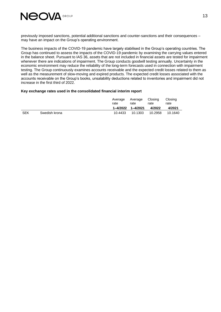

previously imposed sanctions, potential additional sanctions and counter-sanctions and their consequences – may have an impact on the Group's operating environment.

The business impacts of the COVID-19 pandemic have largely stabilised in the Group's operating countries. The Group has continued to assess the impacts of the COVID-19 pandemic by examining the carrying values entered in the balance sheet. Pursuant to IAS 36, assets that are not included in financial assets are tested for impairment whenever there are indications of impairment. The Group conducts goodwill testing annually. Uncertainty in the economic environment may reduce the reliability of the long-term forecasts used in connection with impairment testing. The Group continuously examines accounts receivable and the expected credit losses related to them as well as the measurement of slow-moving and expired products. The expected credit losses associated with the accounts receivable on the Group's books, unsalability deductions related to inventories and impairment did not increase in the first third of 2022.

### **Key exchange rates used in the consolidated financial interim report**

|            |               | Average<br>rate | Average Closing<br>rate<br>rate |         | Closing<br>rate |  |
|------------|---------------|-----------------|---------------------------------|---------|-----------------|--|
|            |               |                 | 1-4/2022 1-4/2021               | 4/2022  | 4/2021          |  |
| <b>SEK</b> | Swedish krona | 10.4433         | 10.1303                         | 10.2958 | 10.1640         |  |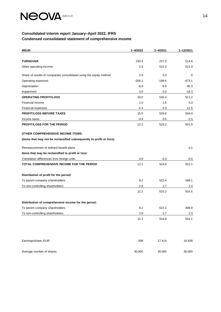

### **Consolidated interim report January–April 2022, IFRS Condensed consolidated statement of comprehensive income**

| <b>MEUR</b>                                                          | 1-4/2022 | $1 - 4/2021$ | 1-12/2021 |
|----------------------------------------------------------------------|----------|--------------|-----------|
|                                                                      |          |              |           |
| <b>TURNOVER</b>                                                      | 230.4    | 227.0        | 514.6     |
| Other operating income                                               | 2.5      | 512.2        | 521.3     |
| Share of results of companies consolidated using the equity method   | 2.0      | 0.3          | 0         |
| Operating expenses                                                   | $-206.1$ | $-199.6$     | $-473.1$  |
| Depreciation                                                         | $-8.9$   | $-9.5$       | $-35.3$   |
| Impairment                                                           | 0.0      | 0.0          | $-16.3$   |
| <b>OPERATING PROFIT/LOSS</b>                                         | 20.0     | 530.4        | 511.2     |
| Financial income                                                     | 1.0      | 1.5          | 5.3       |
| Financial expenses                                                   | $-5.4$   | $-3.3$       | $-12.5$   |
| <b>PROFIT/LOSS BEFORE TAXES</b>                                      | 15.5     | 528.6        | 504.0     |
| Income taxes                                                         | $-3.4$   | $-3.5$       | $-2.5$    |
| <b>PROFIT/LOSS FOR THE PERIOD</b>                                    | 12.2     | 525.2        | 501.5     |
| <b>OTHER COMPREHENSIVE INCOME ITEMS:</b>                             |          |              |           |
| (items that may not be reclassified subsequently to profit or loss): |          |              |           |
| Remeasurement of defined benefit plans                               |          |              | 0.1       |
| Items that may be reclassified to profit or loss:                    |          |              |           |
| Translation differences from foreign units                           | 0.0      | $-0.3$       | -0.5      |
| TOTAL COMPREHENSIVE INCOME FOR THE PERIOD                            | 12.1     | 524.8        | 501.1     |
| Distribution of profit for the period:                               |          |              |           |
| To parent company shareholders                                       | 9.2      | 522.4        | 499.1     |
| To non-controlling shareholders                                      | 2.9      | 2.7          | 2.4       |
|                                                                      | 12.2     | 525.2        | 501.5     |
|                                                                      |          |              |           |
| Distribution of comprehensive income for the period:                 |          |              |           |
| To parent company shareholders                                       | 9.2      | 522.1        | 498.8     |
| To non-controlling shareholders                                      | 2.9      | 2.7          | $2.3\,$   |
|                                                                      | 12.1     | 524.8        | 501.1     |
| Earnings/share, EUR                                                  | 308      | 17,414       | 16,638    |
| Average number of shares                                             | 30,000   | 30,000       | 30,000    |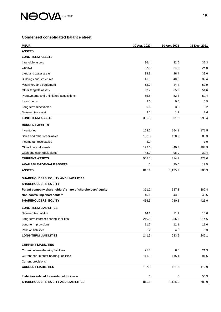

### **Condensed consolidated balance sheet**

| <b>MEUR</b>                                                | 30 Apr. 2022 | 30 Apr. 2021 | 31 Dec. 2021 |
|------------------------------------------------------------|--------------|--------------|--------------|
| <b>ASSETS</b>                                              |              |              |              |
| <b>LONG-TERM ASSETS</b>                                    |              |              |              |
| Intangible assets                                          | 36.4         | 32.5         | 32.3         |
| Goodwill                                                   | 27.3         | 24.3         | 24.0         |
| Land and water areas                                       | 34.8         | 36.4         | 33.6         |
| <b>Buildings and structures</b>                            | 41.0         | 40.6         | 39.4         |
| Machinery and equipment                                    | 52.0         | 44.4         | 50.9         |
| Other tangible assets                                      | 52.7         | 65.2         | 51.6         |
| Prepayments and unfinished acquisitions                    | 55.6         | 52.8         | 52.4         |
| Investments                                                | 3.6          | 0.5          | 0.5          |
| Long-term receivables                                      | 0.1          | 3.2          | 3.2          |
| Deferred tax asset                                         | 3.0          | 1.2          | 2.6          |
| <b>LONG-TERM ASSETS</b>                                    | 306.5        | 301.3        | 290.4        |
| <b>CURRENT ASSETS</b>                                      |              |              |              |
| Inventories                                                | 153.2        | 154.1        | 171.5        |
| Sales and other receivables                                | 136.8        | 120.9        | 80.3         |
| Income tax receivables                                     | 2.0          |              | 1.9          |
| Other financial assets                                     | 172.6        | 440.8        | 188.9        |
| Cash and cash equivalents                                  | 43.9         | 98.9         | 30.4         |
| <b>CURRENT ASSETS</b>                                      | 508.5        | 814.7        | 473.0        |
| <b>AVAILABLE-FOR-SALE ASSETS</b>                           | 0            | 20.0         | 17.5         |
| <b>ASSETS</b>                                              | 815.1        | 1,135.9      | 780.9        |
| <b>SHAREHOLDERS' EQUITY AND LIABILITIES</b>                |              |              |              |
| <b>SHAREHOLDERS' EQUITY</b>                                |              |              |              |
| Parent company shareholders' share of shareholders' equity | 391.2        | 687.3        | 382.4        |
| Non-controlling shareholders                               | 45.1         | 43.5         | 43.5         |
| <b>SHAREHOLDERS' EQUITY</b>                                | 436.3        | 730.8        | 425.9        |
| <b>LONG-TERM LIABILITIES</b>                               |              |              |              |
| Deferred tax liability                                     | 14.1         | 11.1         | 10.6         |
| Long-term interest-bearing liabilities                     | 210.5        | 256.6        | 214.6        |
| Long-term provisions                                       | 11.7         | 11.1         | 11.6         |
| Pension liabilities                                        | $5.2\,$      | 4.8          | 5.3          |
| <b>LONG-TERM LIABILITIES</b>                               | 241.5        | 283.5        | 242.1        |
| <b>CURRENT LIABILITIES</b>                                 |              |              |              |
| Current interest-bearing liabilities                       | 25.3         | 6.5          | 21.3         |
| Current non-interest-bearing liabilities                   | 111.9        | 115.1        | 91.6         |
| <b>Current provisions</b>                                  |              |              |              |
| <b>CURRENT LIABILITIES</b>                                 | 137.3        | 121.6        | 112.9        |
| Liabilities related to assets held for sale                | 0            | 0            | 56.3         |
| SHAREHOLDERS' EQUITY AND LIABILITIES                       | 815.1        | 1,135.9      | 780.9        |
|                                                            |              |              |              |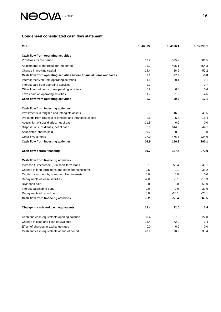

### **Condensed consolidated cash flow statement**

| <b>MEUR</b>                                                          | $1 - 4/2022$ | 1-4/2021 | 1-12/2021 |
|----------------------------------------------------------------------|--------------|----------|-----------|
| Cash flow from operating activities                                  |              |          |           |
| Profit/loss for the period                                           | 12.2         | 525.2    | 501.5     |
| Adjustments to the result for the period                             | 11.3         | $-496.1$ | $-454.3$  |
| Change in working capital                                            | $-14.4$      | $-56.9$  | $-50.2$   |
| Cash flow from operating activities before financial items and taxes | 9.1          | $-27.9$  | $-3.0$    |
| Interest received from operating activities                          | $-1.5$       | $-0.1$   | $-0.1$    |
| Interest paid from operating activities                              | $-2.3$       |          | $-9.7$    |
| Other financial items from operating activities                      | $-0.9$       | 0.3      | 0.4       |
| Taxes paid on operating activities                                   | $-1.7$       | $-1.9$   | $-4.6$    |
| Cash flow from operating activities                                  | 2.7          | -29.5    | $-17.1$   |
| <b>Cash flow from investing activities</b>                           |              |          |           |
| Investments in tangible and intangible assets                        | $-9.9$       | $-16.0$  | $-45.5$   |
| Proceeds from disposal of tangible and intangible assets             | 2.6          | 5.3      | 16.4      |
| Acquisition of subsidiaries, net of cash                             | $-11.8$      | 0.0      | 0.0       |
| Disposal of subsidiaries, net of cash                                | 0.0          | 644.0    | 644.1     |
| Associates' shares sold                                              | 19.2         | 0.0      | 0         |
| Other investments                                                    | 17.0         | $-476.3$ | $-224.9$  |
| Cash flow from investing activities                                  | 16.9         | 156.9    | 390.1     |
| Cash flow before financing                                           | 19.7         | 127.4    | 373.0     |
| Cash flow from financing activities                                  |              |          |           |
| Increase (+)/decrease (-) in short-term loans                        | $-0.1$       | $-50.4$  | $-46.1$   |
| Change in long-term loans and other financing items                  | $-2.5$       | 0.1      | $-33.2$   |
| Capital investment by non-controlling interests                      | 0.0          | 0.0      | 0.0       |
| Repayments of lease liabilities                                      | $-2.8$       | $-5.1$   | $-10.3$   |
| Dividends paid                                                       | $-0.8$       | 0.0      | $-250.0$  |
| Interest paid/hybrid bond                                            | 0.0          | 0.0      | $-29.9$   |
| Repayments of hybrid bond                                            | 0.0          | $-20.1$  | $-20.1$   |
| Cash flow from financing activities                                  | $-6.2$       | $-55.4$  | $-369.5$  |
| Change in cash and cash equivalents                                  | 13.4         | 72.0     | 3.4       |
| Cash and cash equivalents opening balance                            | 30.4         | 27.0     | 27.0      |
| Change in cash and cash equivalents                                  | 13.4         | 72.0     | 3.4       |
| Effect of changes in exchange rates                                  | 0.0          | 0.0      | 0.0       |
| Cash and cash equivalents at end of period                           | 43.9         | 98.9     | 30.4      |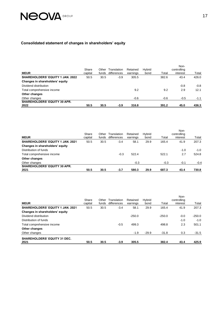# **NEOVA** GROUP

### **Consolidated statement of changes in shareholders' equity**

|                                         | Share   | Other | Translation | Retained | <b>H</b> vbrid |        | Non-<br>controlling |        |
|-----------------------------------------|---------|-------|-------------|----------|----------------|--------|---------------------|--------|
| <b>MEUR</b>                             | capital | funds | differences | earnings | bond           | Total  | interest            | Total  |
| <b>SHAREHOLDERS' EQUITY 1 JAN. 2022</b> | 50.5    | 30.5  | $-3.9$      | 305.5    |                | 382.6  | 43.4                | 426.0  |
| Changes in shareholders' equity         |         |       |             |          |                |        |                     |        |
| Dividend distribution                   |         |       |             |          |                |        | $-0.8$              | $-0.8$ |
| Total comprehensive income              |         |       |             | 9.2      |                | 9.2    | 2.9                 | 12.1   |
| Other changes                           |         |       |             |          |                |        |                     |        |
| Other changes                           |         |       |             | -0.6     |                | $-0.6$ | $-0.5$              | $-1.1$ |
| <b>SHAREHOLDERS' EQUITY 30 APR.</b>     |         |       |             |          |                |        |                     |        |
| 2022                                    | 50.5    | 30.5  | -3.9        | 316.8    |                | 391.2  | 45.0                | 436.3  |

|                                         | Share   | Other | Translation | Retained | <b>H</b> vbrid |        | Non-<br>controlling |        |
|-----------------------------------------|---------|-------|-------------|----------|----------------|--------|---------------------|--------|
| <b>MEUR</b>                             | capital | funds | differences | earnings | bond           | Total  | interest            | Total  |
| <b>SHAREHOLDERS' EQUITY 1 JAN. 2021</b> | 50.5    | 30.5  | $-3.4$      | 58.1     | 29.9           | 165.4  | 41.9                | 207.3  |
| Changes in shareholders' equity         |         |       |             |          |                |        |                     |        |
| Distribution of funds                   |         |       |             |          |                |        | $-1.0$              | $-1.0$ |
| Total comprehensive income              |         |       | $-0.3$      | 522.4    |                | 522.1  | 2.7                 | 524.8  |
| Other changes                           |         |       |             |          |                |        |                     |        |
| Other changes                           |         |       |             | $-0.3$   |                | $-0.3$ | $-0.1$              | $-0.4$ |
| <b>SHAREHOLDERS' EQUITY 30 APR.</b>     |         |       |             |          |                |        |                     |        |
| 2021                                    | 50.5    | 30.5  | -3.7        | 580.3    | 29.9           | 687.3  | 43.4                | 730.8  |

| <b>MEUR</b>                                 | Share<br>capital | Other<br>funds | Translation<br>differences | Retained<br>earnings | Hybrid<br>bond | Total    | Non-<br>controlling<br>interest | Total    |
|---------------------------------------------|------------------|----------------|----------------------------|----------------------|----------------|----------|---------------------------------|----------|
| SHAREHOLDERS' EQUITY 1 JAN. 2021            | 50.5             | 30.5           | $-3.4$                     | 58.1                 | 29.9           | 165.4    | 41.9                            | 207.3    |
| Changes in shareholders' equity             |                  |                |                            |                      |                |          |                                 |          |
| Dividend distribution                       |                  |                |                            | $-250.0$             |                | $-250.0$ | $-0.0$                          | $-250.0$ |
| Distribution of funds                       |                  |                |                            |                      |                |          | $-1.0$                          | $-1.0$   |
| Total comprehensive income                  |                  |                | $-0.5$                     | 499.3                |                | 498.8    | 2.3                             | 501.1    |
| Other changes                               |                  |                |                            |                      |                |          |                                 |          |
| Other changes                               |                  |                |                            | $-1.9$               | $-29.9$        | $-31.8$  | 0.3                             | $-31.5$  |
| <b>SHAREHOLDERS' EQUITY 31 DEC.</b><br>2021 | 50.5             | 30.5           | $-3.9$                     | 305.5                |                | 382.4    | 43.4                            | 425.9    |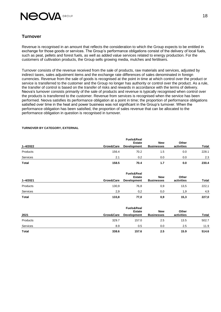

### **Turnover**

Revenue is recognised in an amount that reflects the consideration to which the Group expects to be entitled in exchange for those goods or services. The Group's performance obligations consist of the delivery of local fuels, such as peat, pellets and forest fuels, as well as added value services related to energy production. For the customers of cultivation products, the Group sells growing media, mulches and fertilisers.

Turnover consists of the revenue received from the sale of products, raw materials and services, adjusted by indirect taxes, sales adjustment items and the exchange rate differences of sales denominated in foreign currencies. Revenue from the sale of goods is recognised at the point in time at which control over the product or service is transferred to the customer and the Group no longer has authority or control over the product. As a rule, the transfer of control is based on the transfer of risks and rewards in accordance with the terms of delivery. Neova's turnover consists primarily of the sale of products and revenue is typically recognised when control over the products is transferred to the customer. Revenue from services is recognised when the service has been performed. Neova satisfies its performance obligation at a point in time; the proportion of performance obligations satisfied over time in the heat and power business was not significant in the Group's turnover. When the performance obligation has been satisfied, the proportion of sales revenue that can be allocated to the performance obligation in question is recognised in turnover.

| 1-4/2022     | Grow&Care | <b>Fuels&amp;Real</b><br><b>Estate</b><br><b>Development</b> | <b>New</b><br><b>Businesses</b> | Other<br>activities | Total |
|--------------|-----------|--------------------------------------------------------------|---------------------------------|---------------------|-------|
| Products     | 156.4     | 70.2                                                         | 1.5                             | 0.0                 | 228.1 |
| Services     | 2.1       | 0.2                                                          | 0.0                             | 0.0                 | 2.3   |
| <b>Total</b> | 158.5     | 70.4                                                         | 1.7                             | 0.0                 | 230.4 |

### **TURNOVER BY CATEGORY, EXTERNAL**

|          |           | Other              |                   |            |       |
|----------|-----------|--------------------|-------------------|------------|-------|
| 1-4/2021 | Grow&Care | <b>Development</b> | <b>Businesses</b> | activities | Total |
| Products | 130,9     | 76,8               | 0,9               | 13,5       | 222,1 |
| Services | 2,9       | 0,2                | 0,0               | 1.9        | 4,9   |
| Total    | 133,8     | 77,0               | 0,9               | 15,3       | 227,0 |

| 2021         | Grow&Care | <b>Fuels&amp;Real</b><br><b>Estate</b><br><b>Development</b> | <b>New</b><br><b>Businesses</b> | Other<br>activities | <b>Total</b> |
|--------------|-----------|--------------------------------------------------------------|---------------------------------|---------------------|--------------|
| Products     | 329.7     | 157.0                                                        | 2.5                             | 13.5                | 502.7        |
| Services     | 8.9       | 0.5                                                          | 0.0                             | 2.5                 | 11.9         |
| <b>Total</b> | 338.6     | 157.6                                                        | 2.5                             | 15.9                | 514.6        |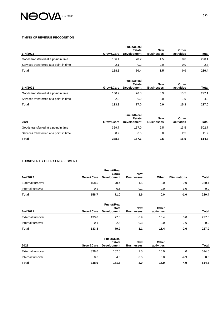# **NEOVA** GROUP

#### **TIMING OF REVENUE RECOGNITION**

| 1-4/2022                                | Grow&Care | <b>Fuels&amp;Real</b><br><b>Estate</b><br><b>Development</b> | <b>New</b><br><b>Businesses</b> | Other<br>activities | Total |
|-----------------------------------------|-----------|--------------------------------------------------------------|---------------------------------|---------------------|-------|
| Goods transferred at a point in time    | 156.4     | 70.2                                                         | 1.5                             | 0.0                 | 228.1 |
| Services transferred at a point in time | 2.1       | 0.2                                                          | 0.0                             | 0.0                 | 2.3   |
| <b>Total</b>                            | 158.5     | 70.4                                                         | 1.5                             | 0.0                 | 230.4 |

| 1-4/2021                                | Grow&Care | <b>Fuels&amp;Real</b><br><b>Estate</b><br><b>Development</b> | <b>New</b><br><b>Businesses</b> | Other<br>activities | Total |
|-----------------------------------------|-----------|--------------------------------------------------------------|---------------------------------|---------------------|-------|
| Goods transferred at a point in time    | 130.9     | 76.8                                                         | 0.9                             | 13.5                | 222.1 |
| Services transferred at a point in time | 2.9       | 0.2                                                          | 0.0                             | 1.9                 | 4.9   |
| <b>Total</b>                            | 133.8     | 77.0                                                         | 0.9                             | 15.3                | 227.0 |

| 2021                                    | Grow&Care | <b>Fuels&amp;Real</b><br><b>Estate</b><br><b>Development</b> | <b>New</b><br><b>Businesses</b> | Other<br>activities | <b>Total</b> |
|-----------------------------------------|-----------|--------------------------------------------------------------|---------------------------------|---------------------|--------------|
| Goods transferred at a point in time    | 329.7     | 157.0                                                        | 2.5                             | 13.5                | 502.7        |
| Services transferred at a point in time | 8.9       | 0.5                                                          |                                 | 2.5                 | 11.9         |
| <b>Total</b>                            | 338.6     | 157.6                                                        | 2.5                             | 15.9                | 514.6        |

### **TURNOVER BY OPERATING SEGMENT**

| 1-4/2022          | Grow&Care | <b>Fuels&amp;Real</b><br><b>Estate</b><br><b>Development</b> | <b>New</b><br><b>Businesses</b> | Other | <b>Eliminations</b> | <b>Total</b> |
|-------------------|-----------|--------------------------------------------------------------|---------------------------------|-------|---------------------|--------------|
| External turnover | 158.5     | 70.4                                                         | 1.5                             | 0.0   | 0.0                 | 230.4        |
| Internal turnover | 0.2       | 0.6                                                          | 0.1                             | 0.0   | $-1.0$              | 0.0          |
| <b>Total</b>      | 158.7     | 71.0                                                         | 1.6                             | 0.0   | $-1.0$              | 230.4        |

| 1-4/2021          | Grow&Care | <b>Fuels&amp;Real</b><br><b>Estate</b><br><b>Development</b> | <b>New</b><br><b>Businesses</b> | Other<br>activities |        | Total |
|-------------------|-----------|--------------------------------------------------------------|---------------------------------|---------------------|--------|-------|
| External turnover | 133.8     | 77.0                                                         | 0.9                             | 15.4                | 0.0    | 227.0 |
| Internal turnover | 0.1       | 2.3                                                          | 0.3                             | 0.0                 | $-2.6$ | 0.0   |
| Total             | 133.8     | 79.2                                                         | 1.1                             | 15.4                | $-2.6$ | 227.0 |

| 2021              | Grow&Care | <b>Fuels&amp;Real</b><br><b>Estate</b><br><b>Development</b> | <b>New</b><br><b>Businesses</b> | Other<br>activities |        | Total |
|-------------------|-----------|--------------------------------------------------------------|---------------------------------|---------------------|--------|-------|
| External turnover | 338.6     | 157.6                                                        | 2.5                             | 15.9                | 0      | 514.6 |
| Internal turnover | 0.3       | 4.0                                                          | 0.5                             | 0.0                 | $-4.9$ | 0.0   |
| Total             | 338.9     | 161.6                                                        | 3.0                             | 15.9                | $-4.9$ | 514.6 |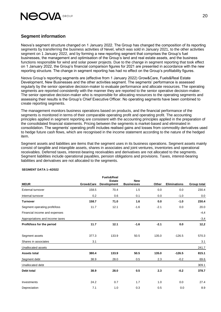

### **Segment information**

Neova's segment structure changed on 1 January 2022. The Group has changed the composition of its reporting segments by transferring the business activities of Nevel, which was sold in January 2021, to the other activities segment on 1 January 2022, and by forming a new reporting segment that comprises the Group's fuel businesses, the management and optimisation of the Group's land and real estate assets, and the business functions responsible for wind and solar power projects. Due to the change in segment reporting that took effect on 1 January 2022, the Group's financial comparison figures for 2021 are presented in accordance with the new reporting structure. The change in segment reporting has had no effect on the Group's profitability figures.

Neova Group's reporting segments are (effective from 1 January 2022) Grow&Care, Fuels&Real Estate Development, New Businesses and the other activities segment. The segments' performance is assessed regularly by the senior operative decision-maker to evaluate performance and allocate resources. The operating segments are reported consistently with the manner they are reported to the senior operative decision-maker. The senior operative decision-maker who is responsible for allocating resources to the operating segments and assessing their results is the Group's Chief Executive Officer. No operating segments have been combined to create reporting segments.

The management monitors business operations based on products, and the financial performance of the segments is monitored in terms of their comparable operating profit and operating profit. The accounting principles applied in segment reporting are consistent with the accounting principles applied in the preparation of the consolidated financial statements. Pricing between the segments is market-based and eliminated in consolidation. The segments' operating profit includes realised gains and losses from commodity derivatives used to hedge future cash flows, which are recognised in the income statement according to the nature of the hedged item.

Segment assets and liabilities are items that the segment uses in its business operations. Segment assets mainly consist of tangible and intangible assets, shares in associates and joint ventures, inventories and operational receivables. Deferred taxes, interest-bearing receivables and derivatives are not allocated to the segments. Segment liabilities include operational payables, pension obligations and provisions. Taxes, interest-bearing liabilities and derivatives are not allocated to the segments.

| <b>MEUR</b>                     | Grow&Care | Fuels&Real<br><b>Estate</b><br>Development | <b>New</b><br><b>Businesses</b> | Other  | <b>Eliminations</b> | Group total |
|---------------------------------|-----------|--------------------------------------------|---------------------------------|--------|---------------------|-------------|
| External turnover               | 158.5     | 70.4                                       | 1.5                             | 0.0    | 0.0                 | 230.4       |
| Internal turnover               | 0.2       | 0.6                                        | 0.1                             | 0.0    | $-1.0$              | 0.0         |
| <b>Turnover</b>                 | 158.7     | 71.0                                       | 1.6                             | 0.0    | $-1.0$              | 230.4       |
| Segment operating profit/loss   | 11.7      | 12.1                                       | $-1.6$                          | $-2.1$ | 0.0                 | 20.0        |
| Financial income and expenses   |           |                                            |                                 |        |                     | $-4,4$      |
| Appropriations and income taxes |           |                                            |                                 |        |                     | $-3,4$      |
| Profit/loss for the period      | 11.7      | 12.1                                       | $-1.6$                          | $-2.1$ | 0.0                 | 12,2        |
| Segment assets                  | 377.3     | 133.9                                      | 50.5                            | 135.0  | $-126.5$            | 570.3       |
| Shares in associates            | 3.1       |                                            |                                 |        |                     | 3.1         |
| Unallocated assets              |           |                                            |                                 |        |                     | 241.7       |
| <b>Assets total</b>             | 380.4     | 133.9                                      | 50.5                            | 135.0  | $-126.5$            | 815.1       |
| Segment debt                    | 38.9      | 28.0                                       | 0.5                             | 2.3    | $-0.2$              | 69.6        |
| Unallocated debt                |           |                                            |                                 |        |                     | 309.1       |
| <b>Debt total</b>               | 38.9      | 28.0                                       | 0.5                             | 2.3    | $-0.2$              | 378.7       |
| Investments                     | 24.2      | 0.7                                        | 1.7                             | 1.0    | 0.0                 | 27.4        |
| Depreciation                    | 7.1       | 1.0                                        | 0.3                             | 0.5    | 0.0                 | 8.9         |

### **SEGMENT DATA 1–4/2022**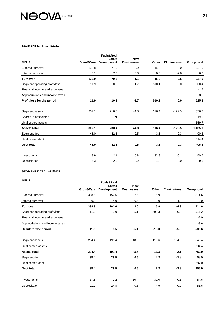

#### **SEGMENT DATA 1–4/2021**

|                                 |           | <b>Fuels&amp;Real</b><br><b>Estate</b> | <b>New</b>        |       |                     |             |
|---------------------------------|-----------|----------------------------------------|-------------------|-------|---------------------|-------------|
| <b>MEUR</b>                     | Grow&Care | Development                            | <b>Businesses</b> | Other | <b>Eliminations</b> | Group total |
| <b>External turnover</b>        | 133.8     | 77.0                                   | 0.9               | 15.3  | 0                   | 227.0       |
| Internal turnover               | 0.1       | 2.3                                    | 0.3               | 0.0   | $-2.6$              | 0.0         |
| <b>Turnover</b>                 | 133.9     | 79.2                                   | 1.1               | 15.3  | $-2.6$              | 227.0       |
| Segment operating profit/loss   | 11.9      | 10.2                                   | $-1.7$            | 510.1 | 0.0                 | 530.4       |
| Financial income and expenses   |           |                                        |                   |       |                     | $-1.7$      |
| Appropriations and income taxes |           |                                        |                   |       |                     | $-3.5$      |
| Profit/loss for the period      | 11.9      | 10.2                                   | $-1.7$            | 510.1 | 0.0                 | 525.2       |
|                                 |           |                                        |                   |       |                     |             |
| Segment assets                  | 307.1     | 210.5                                  | 44.8              | 116.4 | $-122.5$            | 556.3       |
| Shares in associates            |           | 19.9                                   |                   |       |                     | 19.9        |
| Unallocated assets              |           |                                        |                   |       |                     | 559.7       |
| <b>Assets total</b>             | 307.1     | 230.4                                  | 44.8              | 116.4 | $-122.5$            | 1,135.9     |
| Segment debt                    | 45.0      | 42.5                                   | 0.5               | 3.1   | $-0.3$              | 90.8        |
| Unallocated debt                |           |                                        |                   |       |                     | 314.4       |
| <b>Debt total</b>               | 45.0      | 42.5                                   | 0.5               | 3.1   | $-0.3$              | 405.2       |
|                                 |           |                                        |                   |       |                     |             |
| Investments                     | 8.9       | 2.1                                    | 5.8               | 33.8  | $-0.1$              | 50.6        |
| Depreciation                    | 5.3       | 2.2                                    | 0.2               | 1.8   | 0.0                 | 9.5         |

### **SEGMENT DATA 1–12/2021**

### **MEUR**

| <b>MEUR</b>                     | Grow&Care | <b>Fuels&amp;Real</b><br><b>Estate</b><br><b>Development</b> | <b>New</b><br><b>Businesses</b> | Other   | <b>Eliminations</b> | Group total |
|---------------------------------|-----------|--------------------------------------------------------------|---------------------------------|---------|---------------------|-------------|
| <b>External turnover</b>        | 338.6     | 157.6                                                        | 2.5                             | 15.9    | 0                   | 514.6       |
| Internal turnover               | 0.3       | 4.0                                                          | 0.5                             | 0.0     | $-4.9$              | 0.0         |
| <b>Turnover</b>                 | 338.9     | 161.6                                                        | 3.0                             | 15.9    | $-4.9$              | 514.6       |
| Segment operating profit/loss   | 11.0      | 2.0                                                          | $-5.1$                          | 503.3   | 0.0                 | 511.2       |
| Financial income and expenses   |           |                                                              |                                 |         |                     | $-7.0$      |
| Appropriations and income taxes |           |                                                              |                                 |         |                     | $-3.6$      |
| <b>Result for the period</b>    | 11.0      | 3.5                                                          | $-5.1$                          | $-15.0$ | $-5.5$              | 500.6       |
| Segment assets                  | 294.4     | 191.4                                                        | 48.8                            | 116.6   | $-104.9$            | 546.4       |
| Unallocated assets              |           |                                                              |                                 |         |                     | 234.4       |
| <b>Assets total</b>             | 294.4     | 191.4                                                        | 48.8                            | 12.3    | $-2.1$              | 780.9       |
| Segment debt                    | 38.4      | 29.5                                                         | 0.6                             | 2.3     | $-2.8$              | 68.0        |
| Unallocated debt                |           |                                                              |                                 |         |                     | 287.0       |
| Debt total                      | 38.4      | 29.5                                                         | 0.6                             | 2.3     | $-2.8$              | 355.0       |
| Investments                     | 37.5      | $-2.2$                                                       | 10.4                            | 39.0    | $-0.1$              | 84.6        |
| Depreciation                    | 21.2      | 24.8                                                         | 0.6                             | 4.9     | $-0.0$              | 51.6        |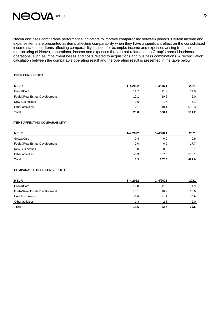# **NEOVA** GROUP

Neova discloses comparable performance indicators to improve comparability between periods. Certain income and expense items are presented as items affecting comparability when they have a significant effect on the consolidated income statement. Items affecting comparability include, for example, income and expenses arising from the restructuring of Neova's operations, income and expenses that are not related to the Group's normal business operations, such as impairment losses and costs related to acquisitions and business combinations. A reconciliation calculation between the comparable operating result and the operating result is presented in the table below.

### **OPERATING PROFIT**

| <b>MEUR</b>                   | 1-4/2022 | $1 - 4/2021$ | 2021   |
|-------------------------------|----------|--------------|--------|
| Grow&Care                     | 11.7     | 11.9         | 11.0   |
| Fuels&Real Estate Development | 12.1     | 10.2         | 2.0    |
| <b>New Businesses</b>         | -1.6     | $-1.7$       | $-5.1$ |
| Other activities              | $-2.1$   | 510.1        | 503.3  |
| Total                         | 20.0     | 530.4        | 511.2  |

### **ITEMS AFFECTING COMPARABILITY**

| <b>MEUR</b>                   | 1-4/2022 | $1 - 4/2021$ | 2021    |
|-------------------------------|----------|--------------|---------|
| Grow&Care                     | $-0.4$   | 0.0          | $-0.9$  |
| Fuels&Real Estate Development | 2.0      | 0.0          | $-17.7$ |
| <b>New Businesses</b>         | 0.0      | 0.0          | $-0.1$  |
| Other activities              | $-0.3$   | 507.3        | 506.1   |
| <b>Total</b>                  | 1.3      | 507.6        | 487.6   |

### **COMPARABLE OPERATING PROFIT**

| <b>MEUR</b>                   | $1 - 4/2022$ | $1 - 4/2021$ | 2021   |
|-------------------------------|--------------|--------------|--------|
| Grow&Care                     | 12.0         | 11.9         | 11.9   |
| Fuels&Real Estate Development | 10.1         | 10.2         | 18.6   |
| <b>New Businesses</b>         | $-1.6$       | $-1.7$       | -4.9   |
| Other activities              | $-1.8$       | 2.8          | $-2.0$ |
| <b>Total</b>                  | 18.6         | 22.7         | 23.6   |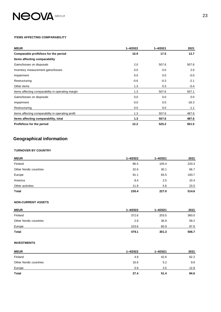# **NEOVA** GROUP

#### **ITEMS AFFECTING COMPARABILITY**

| <b>MEUR</b>                                       | $1 - 4/2022$ | $1 - 4/2021$ | 2021    |
|---------------------------------------------------|--------------|--------------|---------|
| Comparable profit/loss for the period             | 10.9         | 17.5         | 13.7    |
| Items affecting comparability                     |              |              |         |
| Gains/losses on disposals                         | 2.0          | 507.6        | 507.6   |
| Inventory measurement gains/losses                | 0.0          | 0.0          | 2.0     |
| Impairment                                        | 0.0          | 0.0          | $-0.0$  |
| Restructuring                                     | $-0.6$       | $-0.3$       | $-2.1$  |
| Other items                                       | 1.3          | 0.3          | -0.4    |
| Items affecting comparability in operating margin | 1.3          | 507.6        | 507.1   |
| Gains/losses on disposals                         | 0.0          | 0.0          | 0.0     |
| Impairment                                        | 0.0          | 0.0          | $-18.3$ |
| Restructuring                                     | 0.0          | 0.0          | $-1.1$  |
| Items affecting comparability in operating profit | 1.3          | 507.6        | 487.6   |
| Items affecting comparability, total              | 1.3          | 507.6        | 487.6   |
| Profit/loss for the period                        | 12.2         | 525.2        | 501.5   |

# **Geographical information**

### **TURNOVER BY COUNTRY**

| <b>MEUR</b>            | 1-4/2022 | $1 - 4/2021$ | 2021  |
|------------------------|----------|--------------|-------|
| Finland                | 86.5     | 105.4        | 220.3 |
| Other Nordic countries | 32.6     | 30.1         | 66.7  |
| Europe                 | 91.1     | 83.5         | 193.7 |
| America                | 8.4      | 2.5          | 10.4  |
| Other activities       | 11.8     | 5.6          | 23.5  |
| <b>Total</b>           | 230.4    | 227.0        | 514.6 |

### **NON-CURRENT ASSETS**

| <b>MEUR</b>            | $1 - 4/2022$ | $1 - 4/2021$ | 2021  |
|------------------------|--------------|--------------|-------|
| Finland                | 372.6        | 203.5        | 360.0 |
| Other Nordic countries | 2.9          | 36.9         | 59.2  |
| Europe                 | 103.6        | 60.9         | 87.6  |
| <b>Total</b>           | 479.1        | 301.3        | 506.7 |

### **INVESTMENTS**

| <b>MEUR</b>            | $1 - 4/2022$ | $1 - 4/2021$ | 2021 |
|------------------------|--------------|--------------|------|
| Finland                | 4.9          | 42.6         | 62.2 |
| Other Nordic countries | 16.6         | 5.2          | 9.6  |
| Europe                 | 5.9          | 3.5          | 12.8 |
| Total                  | 27.4         | 51.4         | 84.6 |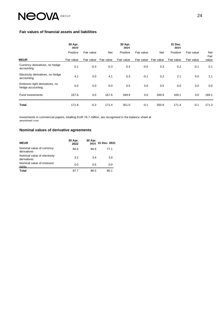# **NEOVA**

### **Fair values of financial assets and liabilities**

|                                                    | 30 Apr.<br>2022        |                          |                   | 30 Apr.<br>2021        |                          |                          | 31 Dec.<br>2021        |                          |                      |
|----------------------------------------------------|------------------------|--------------------------|-------------------|------------------------|--------------------------|--------------------------|------------------------|--------------------------|----------------------|
| <b>MEUR</b>                                        | Positive<br>Fair value | Fair value<br>Fair value | Net<br>Fair value | Positive<br>Fair value | Fair value<br>Fair value | <b>Net</b><br>Fair value | Positive<br>Fair value | Fair value<br>Fair value | Net<br>Fair<br>value |
| Currency derivatives, no hedge<br>accounting       | 0.1                    | $-0.3$                   | $-0.3$            | 0.3                    | $-0.0$                   | 0.3                      | 0.2                    | $-0.1$                   | 0.1                  |
| Electricity derivatives, no hedge<br>accounting    | 4.1                    | 0.0                      | 4.1               | 0.3                    | $-0.1$                   | 0.2                      | 2.1                    | 0.0                      | 2.1                  |
| Emission right derivatives, no<br>hedge accounting | 0.0                    | 0.0                      | 0.0               | 0.5                    | 0.0                      | 0.5                      | 0.0                    | 0.0                      | 0.0                  |
| <b>Fund investments</b>                            | 167.6                  | 0.0                      | 167.6             | 349.9                  | 0.0                      | 349.9                    | 169.1                  | 0.0                      | 169.1                |
| <b>Total</b>                                       | 171.8                  | $-0.3$                   | 171.4             | 351.0                  | $-0.1$                   | 350.9                    | 171.4                  | $-0.1$                   | 171.3                |

Investments in commercial papers, totalling EUR 76.7 million, are recognised in the balance sheet at amortised cost.

### **Nominal values of derivative agreements**

| <b>MEUR</b>                                 | 30 Apr.<br>2022 | 30 Apr. | 2021 31 Dec. 2021 |
|---------------------------------------------|-----------------|---------|-------------------|
| Nominal value of currency<br>derivatives    | 84.6            | 84.6    | 77.1              |
| Nominal value of electricity<br>derivatives | 3.2             | 3.4     | 3.0               |
| Nominal value of emission<br>riahts         | 0.0             | 0.5     | 0.0               |
| <b>Total</b>                                | 87.7            | 88.5    | 80.1              |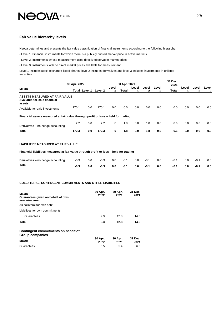# **NEOVA** GROUP

### **Fair value hierarchy levels**

Neova determines and presents the fair value classification of financial instruments according to the following hierarchy:

- Level 1. Financial instruments for which there is a publicly quoted market price in active markets

- Level 2. Instruments whose measurement uses directly observable market prices

- Level 3. Instruments with no direct market prices available for measurement.

Level 1 includes stock exchange-listed shares, level 2 includes derivatives and level 3 includes investments in unlisted securities.

| Level<br>3 |
|------------|
|            |
| 0.0        |
|            |
| 0.0        |
| 0.0        |
|            |

### **LIABILITIES MEASURED AT FAIR VALUE**

**Financial liabilities measured at fair value through profit or loss – held for trading**

| Derivatives-<br>- no hedae accountina | -u.J | 0.0 | -v.J | U.U | -v. . | 0.0 | -v. .  | 0.0 | . ט-  | U.C | -U. . | 0.0 |
|---------------------------------------|------|-----|------|-----|-------|-----|--------|-----|-------|-----|-------|-----|
| Total                                 | -0.ა | 0.0 | ن.∪- | 0.0 | -0.   | 0.0 | $-0.1$ | 0.0 | -v. . | U.l | -0. . | 0.0 |

#### **COLLATERAL, CONTINGENT COMMITMENTS AND OTHER LIABILITIES**

| <b>MEUR</b><br>Guarantees given on behalf of own<br>commitments | 30 Apr.<br>2022 | 30 Apr.<br>2021 | 31 Dec.<br>2021 |
|-----------------------------------------------------------------|-----------------|-----------------|-----------------|
| As collateral for own debt                                      |                 |                 |                 |
| Liabilities for own commitments                                 |                 |                 |                 |
| Guarantees                                                      | 9.3             | 12.8            | 14.0            |
| <b>Total</b>                                                    | 9.3             | 12.8            | 14.0            |
| Contingent commitments on behalf of<br><b>Group companies</b>   |                 |                 |                 |
| <b>MEUR</b>                                                     | 30 Apr.<br>2022 | 30 Apr.<br>2021 | 31 Dec.<br>2021 |
| Guarantees                                                      | 5.5             | 5.4             | 6.5             |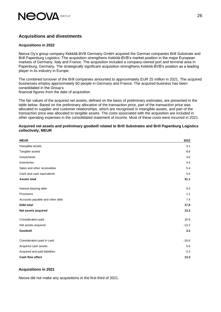

### **Acquisitions and divestments**

### **Acquisitions in 2022**

Neova Oy's group company Kekkilä-BVB Germany GmbH acquired the German companies Brill Substrate and Brill Papenburg Logistics. The acquisition strengthens Kekkilä-BVB's market position in the major European markets of Germany, Italy and France. The acquisition included a company-owned port and terminal area in Papenburg, Germany. The strategically significant acquisition strengthens Kekkilä-BVB's position as a leading player in its industry in Europe.

The combined turnover of the Brill companies amounted to approximately EUR 25 million in 2021. The acquired businesses employ approximately 60 people in Germany and France. The acquired business has been consolidated in the Group's financial figures from the date of acquisition.

The fair values of the acquired net assets, defined on the basis of preliminary estimates, are presented in the

table below. Based on the preliminary allocation of the transaction price, part of the transaction price was allocated to supplier and customer relationships, which are recognised in intangible assets, and part of the transaction price was allocated to tangible assets. The costs associated with the acquisition are included in other operating expenses in the consolidated statement of income. Most of these costs were incurred in 2021.

### **Acquired net assets and preliminary goodwill related to Brill Substrates and Brill Papenburg Logistics collectively, MEUR**

| <b>MEUR</b>                     | 2022    |
|---------------------------------|---------|
| Intangible assets               | 4.1     |
| Tangible assets                 | 8.6     |
| Investments                     | 3.0     |
| Inventories                     | 4.4     |
| Sales and other receivables     | 5.4     |
| Cash and cash equivalents       | 5.6     |
| <b>Assets total</b>             | 31.1    |
| Interest-bearing debt           | 9.3     |
| Provisions                      | 1.1     |
| Accounts payable and other debt | 7.4     |
| Debt total                      | 17.8    |
| Net assets acquired             | 13.2    |
| Consideration paid              | 16.6    |
| Net assets acquired             | $-13.2$ |
| Goodwill                        | 3.3     |
| Consideration paid in cash      | $-16.6$ |
| Acquired cash assets            | 5.6     |
| Acquired and paid liabilities   | $-2.3$  |
| <b>Cash flow effect</b>         | 13.3    |

### **Acquisitions in 2021**

Neova did not make any acquisitions in the first third of 2021.